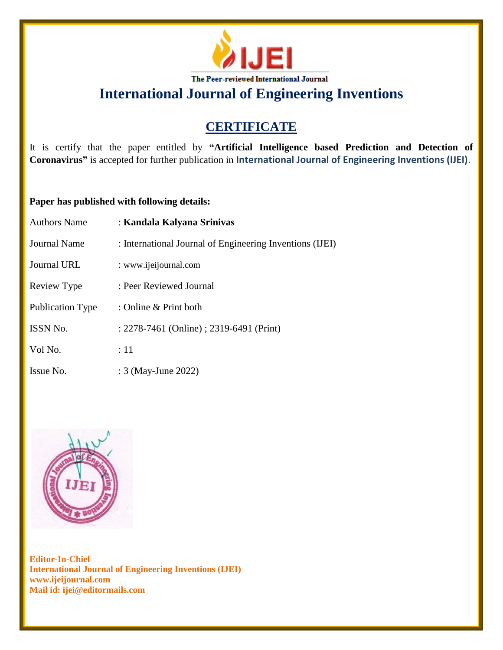

# **CERTIFICATE**

It is certify that the paper entitled by **"Artificial Intelligence based Prediction and Detection of Coronavirus"** is accepted for further publication in **International Journal of Engineering Inventions (IJEI)**.

### **Paper has published with following details:**

| <b>Authors Name</b> | : Kandala Kalyana Srinivas                               |
|---------------------|----------------------------------------------------------|
| Journal Name        | : International Journal of Engineering Inventions (IJEI) |
| Journal URL         | : www.ijeijournal.com                                    |
| Review Type         | : Peer Reviewed Journal                                  |
| Publication Type    | : Online $&$ Print both                                  |
| <b>ISSN No.</b>     | : 2278-7461 (Online) ; 2319-6491 (Print)                 |
| Vol No.             | :11                                                      |
| Issue No.           | : 3 (May-June 2022)                                      |

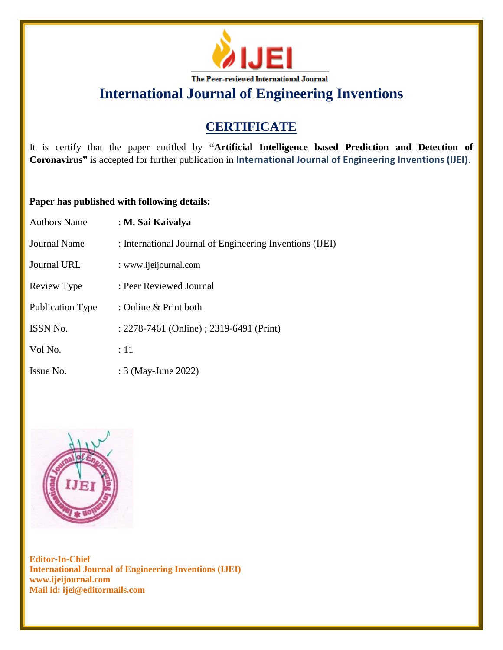

# **CERTIFICATE**

It is certify that the paper entitled by **"Artificial Intelligence based Prediction and Detection of Coronavirus"** is accepted for further publication in **International Journal of Engineering Inventions (IJEI)**.

### **Paper has published with following details:**

| <b>Authors Name</b>     | : M. Sai Kaivalya                                        |
|-------------------------|----------------------------------------------------------|
| Journal Name            | : International Journal of Engineering Inventions (IJEI) |
| Journal URL             | : www.ijeijournal.com                                    |
| Review Type             | : Peer Reviewed Journal                                  |
| <b>Publication Type</b> | : Online & Print both                                    |
| <b>ISSN No.</b>         | : 2278-7461 (Online) ; 2319-6491 (Print)                 |
| Vol No.                 | :11                                                      |
| Issue No.               | : 3 (May-June 2022)                                      |

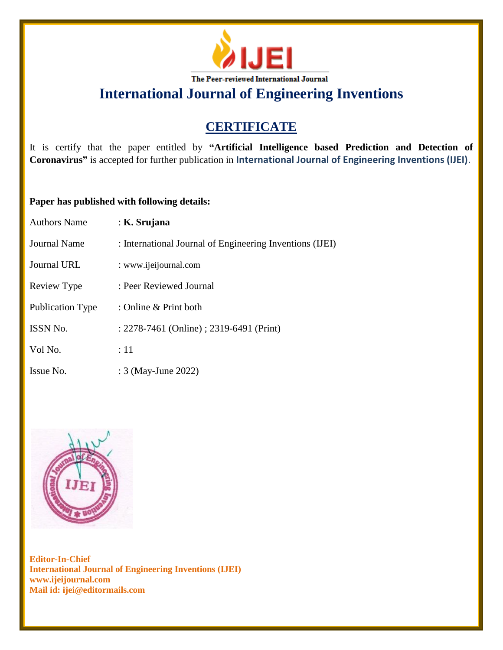

# **CERTIFICATE**

It is certify that the paper entitled by **"Artificial Intelligence based Prediction and Detection of Coronavirus"** is accepted for further publication in **International Journal of Engineering Inventions (IJEI)**.

### **Paper has published with following details:**

| <b>Authors Name</b> | : K. Srujana                                             |
|---------------------|----------------------------------------------------------|
| <b>Journal Name</b> | : International Journal of Engineering Inventions (IJEI) |
| <b>Journal URL</b>  | : www.ijeijournal.com                                    |
| Review Type         | : Peer Reviewed Journal                                  |
| Publication Type    | : Online & Print both                                    |
| ISSN No.            | : 2278-7461 (Online) ; 2319-6491 (Print)                 |
| Vol No.             | :11                                                      |
| Issue No.           | : 3 (May-June 2022)                                      |

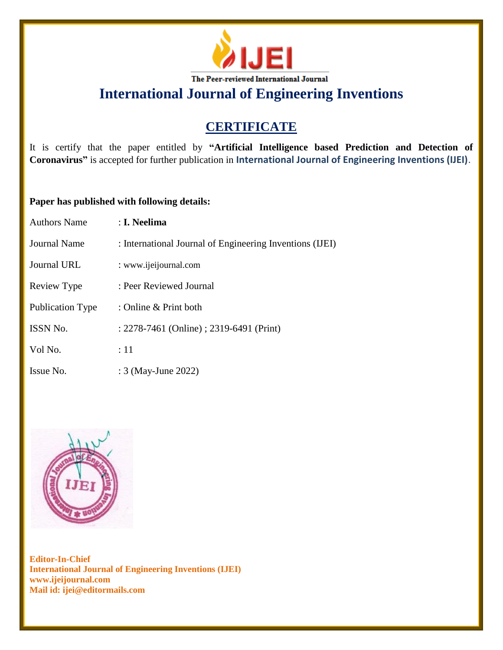

# **CERTIFICATE**

It is certify that the paper entitled by **"Artificial Intelligence based Prediction and Detection of Coronavirus"** is accepted for further publication in **International Journal of Engineering Inventions (IJEI)**.

### **Paper has published with following details:**

| Authors Name            | : I. Neelima                                             |
|-------------------------|----------------------------------------------------------|
| Journal Name            | : International Journal of Engineering Inventions (IJEI) |
| Journal URL             | : www.ijeijournal.com                                    |
| Review Type             | : Peer Reviewed Journal                                  |
| <b>Publication Type</b> | : Online & Print both                                    |
| <b>ISSN No.</b>         | : 2278-7461 (Online) ; 2319-6491 (Print)                 |
| Vol No.                 | :11                                                      |
| Issue No.               | : 3 (May-June 2022)                                      |

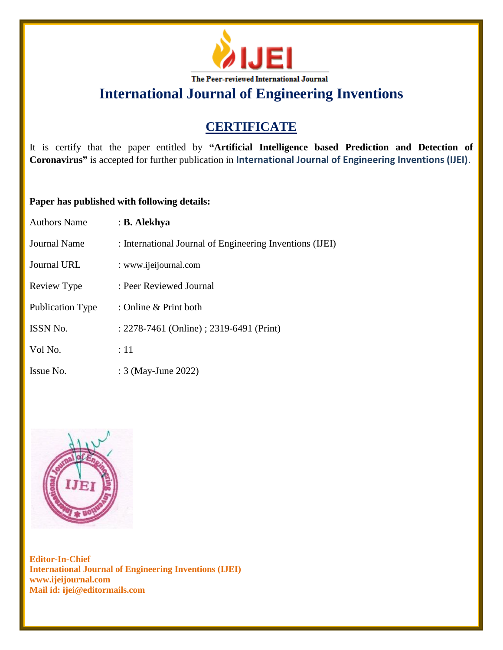

# **CERTIFICATE**

It is certify that the paper entitled by **"Artificial Intelligence based Prediction and Detection of Coronavirus"** is accepted for further publication in **International Journal of Engineering Inventions (IJEI)**.

### **Paper has published with following details:**

| <b>Authors Name</b> | : B. Alekhya                                             |
|---------------------|----------------------------------------------------------|
| Journal Name        | : International Journal of Engineering Inventions (IJEI) |
| Journal URL         | : www.ijeijournal.com                                    |
| Review Type         | : Peer Reviewed Journal                                  |
| Publication Type    | : Online & Print both                                    |
| <b>ISSN No.</b>     | : 2278-7461 (Online) ; 2319-6491 (Print)                 |
| Vol No.             | :11                                                      |
| Issue No.           | : 3 (May-June 2022)                                      |